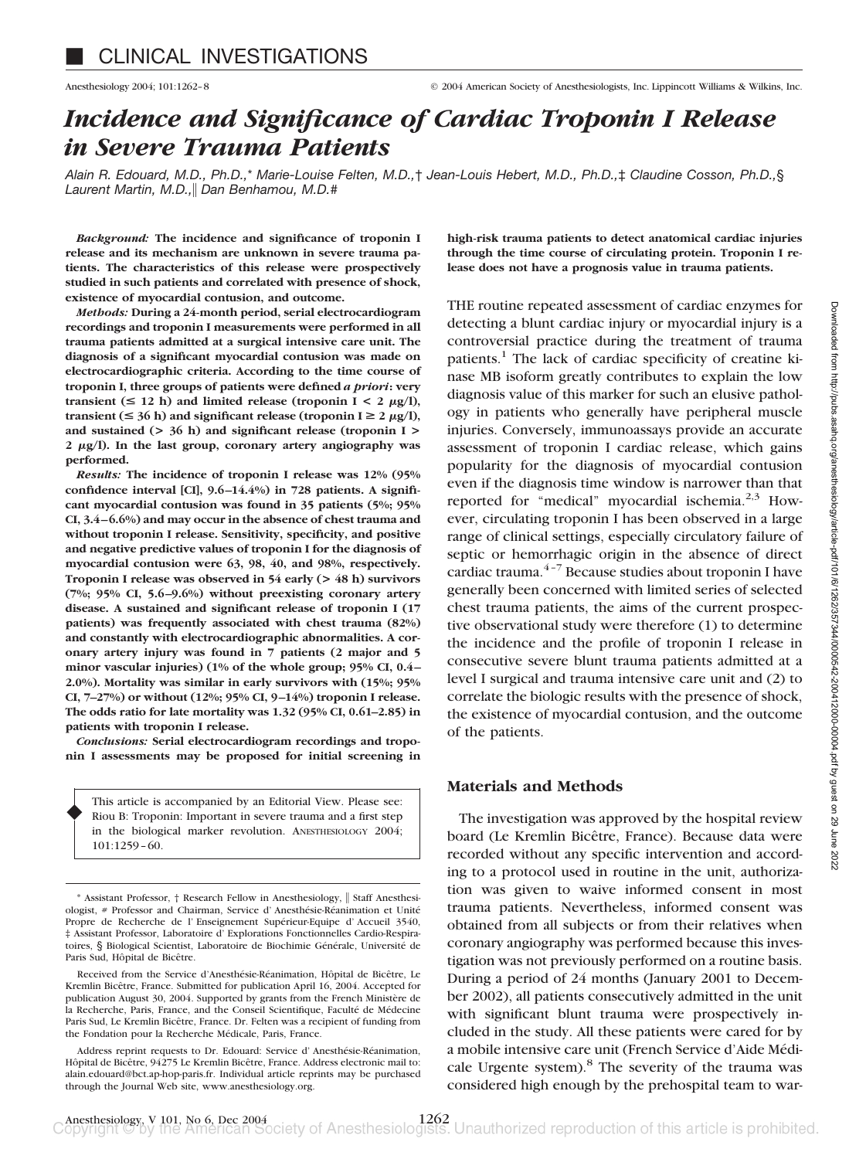# *Incidence and Significance of Cardiac Troponin I Release in Severe Trauma Patients*

*Alain R. Edouard, M.D., Ph.D.,*\* *Marie-Louise Felten, M.D.,*† *Jean-Louis Hebert, M.D., Ph.D.,*‡ *Claudine Cosson, Ph.D.,*§ *Laurent Martin, M.D., Dan Benhamou, M.D.*#

*Background:* **The incidence and significance of troponin I release and its mechanism are unknown in severe trauma patients. The characteristics of this release were prospectively studied in such patients and correlated with presence of shock, existence of myocardial contusion, and outcome.**

*Methods:* **During a 24-month period, serial electrocardiogram recordings and troponin I measurements were performed in all trauma patients admitted at a surgical intensive care unit. The diagnosis of a significant myocardial contusion was made on electrocardiographic criteria. According to the time course of troponin I, three groups of patients were defined** *a priori***: very transient** ( $\leq 12$  h) and limited release (troponin I  $\leq 2 \mu g/l$ ), **transient (** $\leq$  **36 h) and significant release (troponin I** $\geq$  **2**  $\mu$ **g/l), and sustained (> 36 h) and significant release (troponin I > 2 g/l). In the last group, coronary artery angiography was performed.**

*Results:* **The incidence of troponin I release was 12% (95% confidence interval [CI], 9.6 –14.4%) in 728 patients. A significant myocardial contusion was found in 35 patients (5%; 95% CI, 3.4 – 6.6%) and may occur in the absence of chest trauma and without troponin I release. Sensitivity, specificity, and positive and negative predictive values of troponin I for the diagnosis of myocardial contusion were 63, 98, 40, and 98%, respectively. Troponin I release was observed in 54 early (> 48 h) survivors (7%; 95% CI, 5.6 –9.6%) without preexisting coronary artery disease. A sustained and significant release of troponin I (17 patients) was frequently associated with chest trauma (82%) and constantly with electrocardiographic abnormalities. A coronary artery injury was found in 7 patients (2 major and 5 minor vascular injuries) (1% of the whole group; 95% CI, 0.4 – 2.0%). Mortality was similar in early survivors with (15%; 95% CI, 7–27%) or without (12%; 95% CI, 9 –14%) troponin I release. The odds ratio for late mortality was 1.32 (95% CI, 0.61–2.85) in patients with troponin I release.**

*Conclusions:* **Serial electrocardiogram recordings and troponin I assessments may be proposed for initial screening in**

This article is accompanied by an Editorial View. Please see: Riou B: Troponin: Important in severe trauma and a first step in the biological marker revolution. ANESTHESIOLOGY 2004; 101:1259–60.

♦

Address reprint requests to Dr. Edouard: Service d' Anesthésie-Réanimation, Hôpital de Bicêtre, 94275 Le Kremlin Bicêtre, France. Address electronic mail to: alain.edouard@bct.ap-hop-paris.fr. Individual article reprints may be purchased through the Journal Web site, www.anesthesiology.org.

**high-risk trauma patients to detect anatomical cardiac injuries through the time course of circulating protein. Troponin I release does not have a prognosis value in trauma patients.**

THE routine repeated assessment of cardiac enzymes for detecting a blunt cardiac injury or myocardial injury is a controversial practice during the treatment of trauma patients.<sup>1</sup> The lack of cardiac specificity of creatine kinase MB isoform greatly contributes to explain the low diagnosis value of this marker for such an elusive pathology in patients who generally have peripheral muscle injuries. Conversely, immunoassays provide an accurate assessment of troponin I cardiac release, which gains popularity for the diagnosis of myocardial contusion even if the diagnosis time window is narrower than that reported for "medical" myocardial ischemia.<sup>2,3</sup> However, circulating troponin I has been observed in a large range of clinical settings, especially circulatory failure of septic or hemorrhagic origin in the absence of direct cardiac trauma. $4-7$  Because studies about troponin I have generally been concerned with limited series of selected chest trauma patients, the aims of the current prospective observational study were therefore (1) to determine the incidence and the profile of troponin I release in consecutive severe blunt trauma patients admitted at a level I surgical and trauma intensive care unit and (2) to correlate the biologic results with the presence of shock, the existence of myocardial contusion, and the outcome of the patients.

### **Materials and Methods**

The investigation was approved by the hospital review board (Le Kremlin Bicêtre, France). Because data were recorded without any specific intervention and according to a protocol used in routine in the unit, authorization was given to waive informed consent in most trauma patients. Nevertheless, informed consent was obtained from all subjects or from their relatives when coronary angiography was performed because this investigation was not previously performed on a routine basis. During a period of 24 months (January 2001 to December 2002), all patients consecutively admitted in the unit with significant blunt trauma were prospectively included in the study. All these patients were cared for by a mobile intensive care unit (French Service d'Aide Médicale Urgente system).<sup>8</sup> The severity of the trauma was considered high enough by the prehospital team to war-

<sup>\*</sup> Assistant Professor, † Research Fellow in Anesthesiology,  $\parallel$  Staff Anesthesiologist, # Professor and Chairman, Service d' Anesthésie-Réanimation et Unité Propre de Recherche de l' Enseignement Supérieur-Equipe d' Accueil 3540, ‡ Assistant Professor, Laboratoire d' Explorations Fonctionnelles Cardio-Respiratoires, § Biological Scientist, Laboratoire de Biochimie Générale, Université de Paris Sud, Hôpital de Bicêtre.

Received from the Service d'Anesthésie-Réanimation, Hôpital de Bicêtre, Le Kremlin Bicêtre, France. Submitted for publication April 16, 2004. Accepted for publication August 30, 2004. Supported by grants from the French Ministère de la Recherche, Paris, France, and the Conseil Scientifique, Faculté de Médecine Paris Sud, Le Kremlin Bicêtre, France. Dr. Felten was a recipient of funding from the Fondation pour la Recherche Médicale, Paris, France.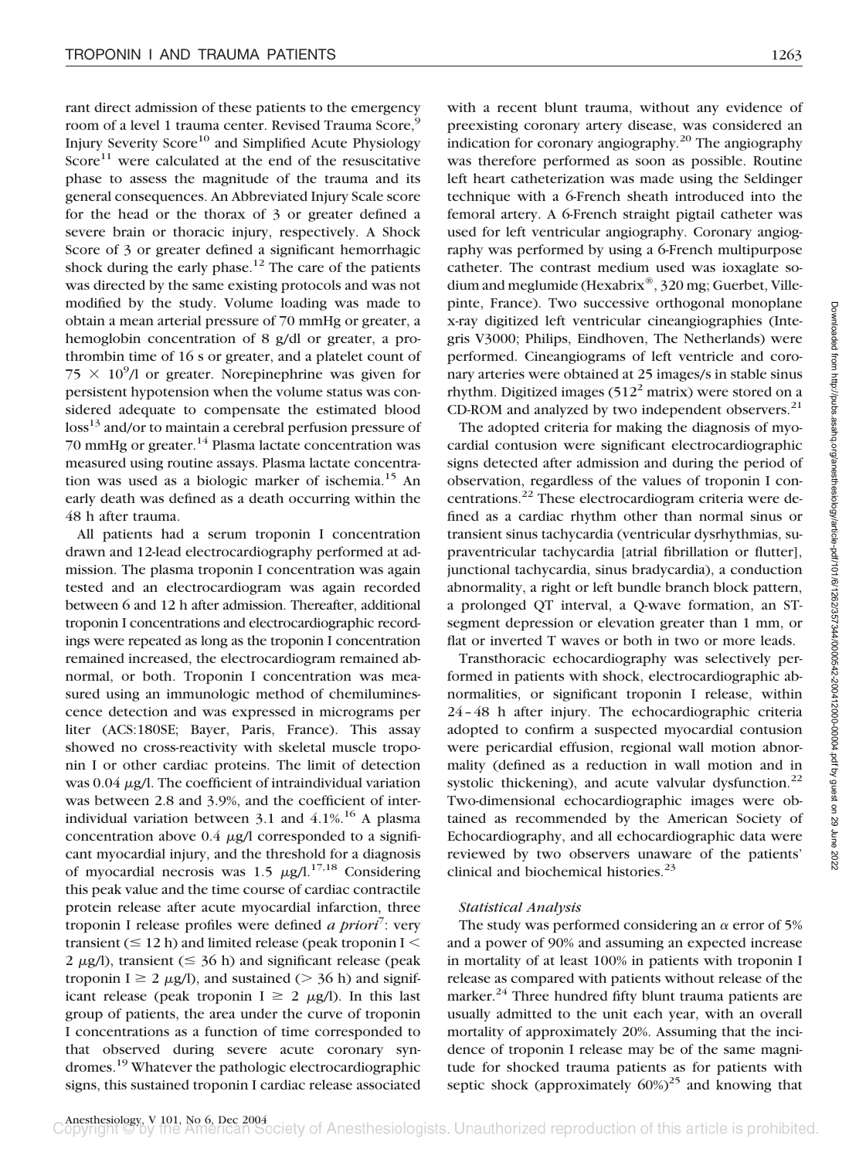rant direct admission of these patients to the emergency room of a level 1 trauma center. Revised Trauma Score,<sup>9</sup> Injury Severity Score<sup>10</sup> and Simplified Acute Physiology Score $11$  were calculated at the end of the resuscitative phase to assess the magnitude of the trauma and its general consequences. An Abbreviated Injury Scale score for the head or the thorax of 3 or greater defined a severe brain or thoracic injury, respectively. A Shock Score of 3 or greater defined a significant hemorrhagic shock during the early phase.<sup>12</sup> The care of the patients was directed by the same existing protocols and was not modified by the study. Volume loading was made to obtain a mean arterial pressure of 70 mmHg or greater, a hemoglobin concentration of 8 g/dl or greater, a prothrombin time of 16 s or greater, and a platelet count of  $75 \times 10^9$ /l or greater. Norepinephrine was given for persistent hypotension when the volume status was considered adequate to compensate the estimated blood loss<sup>13</sup> and/or to maintain a cerebral perfusion pressure of 70 mmHg or greater. $14$  Plasma lactate concentration was measured using routine assays. Plasma lactate concentration was used as a biologic marker of ischemia.15 An early death was defined as a death occurring within the 48 h after trauma.

All patients had a serum troponin I concentration drawn and 12-lead electrocardiography performed at admission. The plasma troponin I concentration was again tested and an electrocardiogram was again recorded between 6 and 12 h after admission. Thereafter, additional troponin I concentrations and electrocardiographic recordings were repeated as long as the troponin I concentration remained increased, the electrocardiogram remained abnormal, or both. Troponin I concentration was measured using an immunologic method of chemiluminescence detection and was expressed in micrograms per liter (ACS:180SE; Bayer, Paris, France). This assay showed no cross-reactivity with skeletal muscle troponin I or other cardiac proteins. The limit of detection was  $0.04 \mu$ g/l. The coefficient of intraindividual variation was between 2.8 and 3.9%, and the coefficient of interindividual variation between 3.1 and  $4.1\%$ .<sup>16</sup> A plasma concentration above  $0.4 \mu g/l$  corresponded to a significant myocardial injury, and the threshold for a diagnosis of myocardial necrosis was 1.5  $\mu$ g/l.<sup>17,18</sup> Considering this peak value and the time course of cardiac contractile protein release after acute myocardial infarction, three troponin I release profiles were defined *a priori*<sup>7</sup>: very transient  $(\leq 12 \text{ h})$  and limited release (peak troponin I  $\leq$ 2  $\mu$ g/l), transient ( $\leq$  36 h) and significant release (peak troponin I  $\geq 2 \mu g/l$ ), and sustained ( $> 36$  h) and significant release (peak troponin  $I \geq 2 \mu g/I$ ). In this last group of patients, the area under the curve of troponin I concentrations as a function of time corresponded to that observed during severe acute coronary syndromes.19 Whatever the pathologic electrocardiographic signs, this sustained troponin I cardiac release associated with a recent blunt trauma, without any evidence of preexisting coronary artery disease, was considered an indication for coronary angiography.<sup>20</sup> The angiography was therefore performed as soon as possible. Routine left heart catheterization was made using the Seldinger technique with a 6-French sheath introduced into the femoral artery. A 6-French straight pigtail catheter was used for left ventricular angiography. Coronary angiography was performed by using a 6-French multipurpose catheter. The contrast medium used was ioxaglate sodium and meglumide (Hexabrix®, 320 mg; Guerbet, Villepinte, France). Two successive orthogonal monoplane x-ray digitized left ventricular cineangiographies (Integris V3000; Philips, Eindhoven, The Netherlands) were performed. Cineangiograms of left ventricle and coronary arteries were obtained at 25 images/s in stable sinus rhythm. Digitized images (512 $^2$  matrix) were stored on a CD-ROM and analyzed by two independent observers. $21$ 

The adopted criteria for making the diagnosis of myocardial contusion were significant electrocardiographic signs detected after admission and during the period of observation, regardless of the values of troponin I concentrations.<sup>22</sup> These electrocardiogram criteria were defined as a cardiac rhythm other than normal sinus or transient sinus tachycardia (ventricular dysrhythmias, supraventricular tachycardia [atrial fibrillation or flutter], junctional tachycardia, sinus bradycardia), a conduction abnormality, a right or left bundle branch block pattern, a prolonged QT interval, a Q-wave formation, an STsegment depression or elevation greater than 1 mm, or flat or inverted T waves or both in two or more leads.

Transthoracic echocardiography was selectively performed in patients with shock, electrocardiographic abnormalities, or significant troponin I release, within 24–48 h after injury. The echocardiographic criteria adopted to confirm a suspected myocardial contusion were pericardial effusion, regional wall motion abnormality (defined as a reduction in wall motion and in systolic thickening), and acute valvular dysfunction. $^{22}$ Two-dimensional echocardiographic images were obtained as recommended by the American Society of Echocardiography, and all echocardiographic data were reviewed by two observers unaware of the patients' clinical and biochemical histories.<sup>23</sup>

#### *Statistical Analysis*

The study was performed considering an  $\alpha$  error of 5% and a power of 90% and assuming an expected increase in mortality of at least 100% in patients with troponin I release as compared with patients without release of the marker.<sup>24</sup> Three hundred fifty blunt trauma patients are usually admitted to the unit each year, with an overall mortality of approximately 20%. Assuming that the incidence of troponin I release may be of the same magnitude for shocked trauma patients as for patients with septic shock (approximately  $60\%$ <sup>25</sup> and knowing that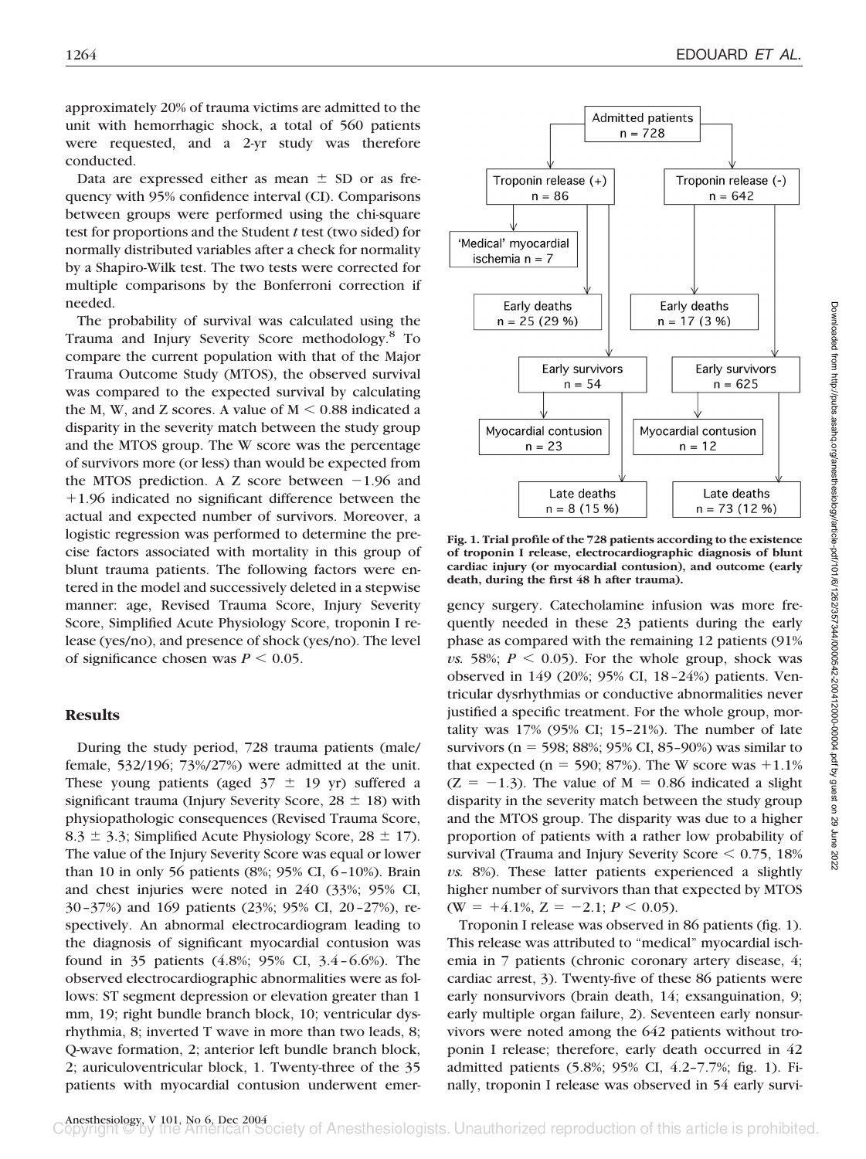approximately 20% of trauma victims are admitted to the unit with hemorrhagic shock, a total of 560 patients were requested, and a 2-yr study was therefore conducted.

Data are expressed either as mean  $\pm$  SD or as frequency with 95% confidence interval (CI). Comparisons between groups were performed using the chi-square test for proportions and the Student *t* test (two sided) for normally distributed variables after a check for normality by a Shapiro-Wilk test. The two tests were corrected for multiple comparisons by the Bonferroni correction if needed.

The probability of survival was calculated using the Trauma and Injury Severity Score methodology.8 To compare the current population with that of the Major Trauma Outcome Study (MTOS), the observed survival was compared to the expected survival by calculating the M, W, and Z scores. A value of  $M < 0.88$  indicated a disparity in the severity match between the study group and the MTOS group. The W score was the percentage of survivors more (or less) than would be expected from the MTOS prediction. A Z score between  $-1.96$  and 1.96 indicated no significant difference between the actual and expected number of survivors. Moreover, a logistic regression was performed to determine the precise factors associated with mortality in this group of blunt trauma patients. The following factors were entered in the model and successively deleted in a stepwise manner: age, Revised Trauma Score, Injury Severity Score, Simplified Acute Physiology Score, troponin I release (yes/no), and presence of shock (yes/no). The level of significance chosen was  $P \leq 0.05$ .

# **Results**

During the study period, 728 trauma patients (male/ female, 532/196; 73%/27%) were admitted at the unit. These young patients (aged  $37 \pm 19$  yr) suffered a significant trauma (Injury Severity Score,  $28 \pm 18$ ) with physiopathologic consequences (Revised Trauma Score, 8.3  $\pm$  3.3; Simplified Acute Physiology Score, 28  $\pm$  17). The value of the Injury Severity Score was equal or lower than 10 in only 56 patients (8%; 95% CI, 6–10%). Brain and chest injuries were noted in 240 (33%; 95% CI, 30–37%) and 169 patients (23%; 95% CI, 20–27%), respectively. An abnormal electrocardiogram leading to the diagnosis of significant myocardial contusion was found in 35 patients (4.8%; 95% CI, 3.4–6.6%). The observed electrocardiographic abnormalities were as follows: ST segment depression or elevation greater than 1 mm, 19; right bundle branch block, 10; ventricular dysrhythmia, 8; inverted T wave in more than two leads, 8; Q-wave formation, 2; anterior left bundle branch block, 2; auriculoventricular block, 1. Twenty-three of the 35 patients with myocardial contusion underwent emer-



**Fig. 1. Trial profile of the 728 patients according to the existence of troponin I release, electrocardiographic diagnosis of blunt cardiac injury (or myocardial contusion), and outcome (early death, during the first 48 h after trauma).**

gency surgery. Catecholamine infusion was more frequently needed in these 23 patients during the early phase as compared with the remaining 12 patients (91%  $\nu$ s. 58%;  $P \leq 0.05$ ). For the whole group, shock was observed in 149 (20%; 95% CI, 18–24%) patients. Ventricular dysrhythmias or conductive abnormalities never justified a specific treatment. For the whole group, mortality was  $17\%$  (95% CI; 15–21%). The number of late survivors ( $n = 598$ ; 88%; 95% CI, 85-90%) was similar to that expected ( $n = 590$ ; 87%). The W score was  $+1.1%$  $(Z = -1.3)$ . The value of M = 0.86 indicated a slight disparity in the severity match between the study group and the MTOS group. The disparity was due to a higher proportion of patients with a rather low probability of survival (Trauma and Injury Severity Score  $\leq 0.75$ , 18% *vs.* 8%). These latter patients experienced a slightly higher number of survivors than that expected by MTOS  $(W = +4.1\%, Z = -2.1; P < 0.05).$ 

Troponin I release was observed in 86 patients (fig. 1). This release was attributed to "medical" myocardial ischemia in 7 patients (chronic coronary artery disease, 4; cardiac arrest, 3). Twenty-five of these 86 patients were early nonsurvivors (brain death, 14; exsanguination, 9; early multiple organ failure, 2). Seventeen early nonsurvivors were noted among the 642 patients without troponin I release; therefore, early death occurred in 42 admitted patients (5.8%; 95% CI, 4.2–7.7%; fig. 1). Finally, troponin I release was observed in 54 early survi-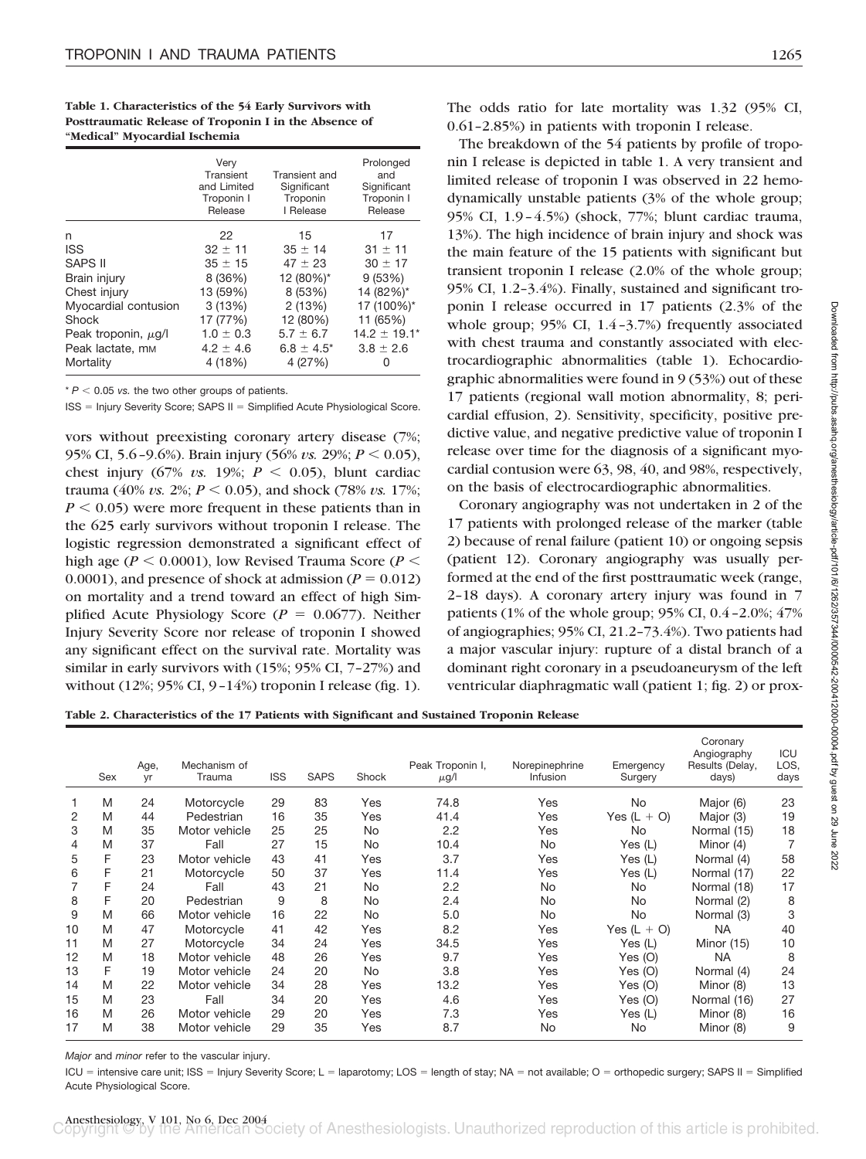**Table 1. Characteristics of the 54 Early Survivors with Posttraumatic Release of Troponin I in the Absence of "Medical" Myocardial Ischemia**

|                              | Verv<br>Transient<br>and Limited<br>Troponin I<br>Release | Transient and<br>Significant<br>Troponin<br>I Release | Prolonged<br>and<br>Significant<br>Troponin I<br>Release |
|------------------------------|-----------------------------------------------------------|-------------------------------------------------------|----------------------------------------------------------|
| n                            | 22                                                        | 15                                                    | 17                                                       |
| <b>ISS</b>                   | $32 \pm 11$                                               | $35 \pm 14$                                           | $31 \pm 11$                                              |
| <b>SAPS II</b>               | $35 \pm 15$                                               | $47 \pm 23$                                           | $30 \pm 17$                                              |
| Brain injury                 | 8 (36%)                                                   | 12 (80%)*                                             | 9(53%)                                                   |
| Chest injury                 | 13 (59%)                                                  | 8 (53%)                                               | 14 (82%)*                                                |
| Myocardial contusion         | 3(13%)                                                    | 2(13%)                                                | 17 (100%)*                                               |
| Shock                        | 17 (77%)                                                  | 12 (80%)                                              | 11 (65%)                                                 |
| Peak troponin, $\mu$ g/l     | $1.0 \pm 0.3$                                             | $5.7 \pm 6.7$                                         | $14.2 + 19.1*$                                           |
| Peak lactate, m <sub>M</sub> | $4.2 \pm 4.6$                                             | $6.8 \pm 4.5^*$                                       | $3.8 \pm 2.6$                                            |
| Mortality                    | 4 (18%)                                                   | 4 (27%)                                               | $\mathbf{0}$                                             |

 $* P < 0.05$  *vs.* the two other groups of patients.

ISS = Injury Severity Score; SAPS II = Simplified Acute Physiological Score.

vors without preexisting coronary artery disease (7%; 95% CI, 5.6–9.6%). Brain injury (56% *vs.* 29%; *P* - 0.05), chest injury  $(67\% \text{ vs. } 19\%; \text{ } P \leq 0.05)$ , blunt cardiac trauma (40% *vs.* 2%;  $P \le 0.05$ ), and shock (78% *vs.* 17%;  $P < 0.05$ ) were more frequent in these patients than in the 625 early survivors without troponin I release. The logistic regression demonstrated a significant effect of high age ( $P < 0.0001$ ), low Revised Trauma Score ( $P <$ 0.0001), and presence of shock at admission ( $P = 0.012$ ) on mortality and a trend toward an effect of high Simplified Acute Physiology Score ( $P = 0.0677$ ). Neither Injury Severity Score nor release of troponin I showed any significant effect on the survival rate. Mortality was similar in early survivors with (15%; 95% CI, 7–27%) and without (12%; 95% CI, 9–14%) troponin I release (fig. 1).

The odds ratio for late mortality was 1.32 (95% CI, 0.61–2.85%) in patients with troponin I release.

The breakdown of the 54 patients by profile of troponin I release is depicted in table 1. A very transient and limited release of troponin I was observed in 22 hemodynamically unstable patients (3% of the whole group; 95% CI, 1.9–4.5%) (shock, 77%; blunt cardiac trauma, 13%). The high incidence of brain injury and shock was the main feature of the 15 patients with significant but transient troponin I release (2.0% of the whole group; 95% CI, 1.2–3.4%). Finally, sustained and significant troponin I release occurred in 17 patients (2.3% of the whole group; 95% CI, 1.4-3.7%) frequently associated with chest trauma and constantly associated with electrocardiographic abnormalities (table 1). Echocardiographic abnormalities were found in 9 (53%) out of these 17 patients (regional wall motion abnormality, 8; pericardial effusion, 2). Sensitivity, specificity, positive predictive value, and negative predictive value of troponin I release over time for the diagnosis of a significant myocardial contusion were 63, 98, 40, and 98%, respectively, on the basis of electrocardiographic abnormalities.

Coronary angiography was not undertaken in 2 of the 17 patients with prolonged release of the marker (table 2) because of renal failure (patient 10) or ongoing sepsis (patient 12). Coronary angiography was usually performed at the end of the first posttraumatic week (range, 2–18 days). A coronary artery injury was found in 7 patients (1% of the whole group; 95% CI, 0.4–2.0%; 47% of angiographies; 95% CI, 21.2–73.4%). Two patients had a major vascular injury: rupture of a distal branch of a dominant right coronary in a pseudoaneurysm of the left ventricular diaphragmatic wall (patient 1; fig. 2) or prox-

**Table 2. Characteristics of the 17 Patients with Significant and Sustained Troponin Release**

|    | Sex | Age,<br>yr | Mechanism of<br>Trauma | <b>ISS</b> | <b>SAPS</b> | Shock     | Peak Troponin I,<br>$\mu$ g/l | Norepinephrine<br>Infusion | Emergency<br>Surgery | Coronary<br>Angiography<br>Results (Delay,<br>days) | ICU<br>LOS,<br>days |
|----|-----|------------|------------------------|------------|-------------|-----------|-------------------------------|----------------------------|----------------------|-----------------------------------------------------|---------------------|
|    | M   | 24         | Motorcycle             | 29         | 83          | Yes       | 74.8                          | Yes                        | No.                  | Major (6)                                           | 23                  |
| 2  | M   | 44         | Pedestrian             | 16         | 35          | Yes       | 41.4                          | Yes                        | Yes $(L + O)$        | Major (3)                                           | 19                  |
| 3  | M   | 35         | Motor vehicle          | 25         | 25          | No        | 2.2                           | Yes                        | No.                  | Normal (15)                                         | 18                  |
| 4  | M   | 37         | Fall                   | 27         | 15          | <b>No</b> | 10.4                          | No                         | Yes $(L)$            | Minor (4)                                           | 7                   |
| 5  | F   | 23         | Motor vehicle          | 43         | 41          | Yes       | 3.7                           | Yes                        | Yes $(L)$            | Normal (4)                                          | 58                  |
| 6  | F   | 21         | Motorcycle             | 50         | 37          | Yes       | 11.4                          | Yes                        | Yes (L)              | Normal (17)                                         | 22                  |
|    | F   | 24         | Fall                   | 43         | 21          | <b>No</b> | 2.2                           | No                         | No                   | Normal (18)                                         | 17                  |
| 8  | F   | 20         | Pedestrian             | 9          | 8           | No        | 2.4                           | No                         | No.                  | Normal (2)                                          | 8                   |
| 9  | M   | 66         | Motor vehicle          | 16         | 22          | No        | 5.0                           | No                         | No                   | Normal (3)                                          | 3                   |
| 10 | M   | 47         | Motorcycle             | 41         | 42          | Yes       | 8.2                           | Yes                        | Yes $(L + O)$        | <b>NA</b>                                           | 40                  |
| 11 | M   | 27         | Motorcycle             | 34         | 24          | Yes       | 34.5                          | Yes                        | Yes (L)              | Minor (15)                                          | 10                  |
| 12 | M   | 18         | Motor vehicle          | 48         | 26          | Yes       | 9.7                           | Yes                        | Yes (O)              | <b>NA</b>                                           | 8                   |
| 13 | F   | 19         | Motor vehicle          | 24         | 20          | <b>No</b> | 3.8                           | Yes                        | Yes $(O)$            | Normal (4)                                          | 24                  |
| 14 | M   | 22         | Motor vehicle          | 34         | 28          | Yes       | 13.2                          | Yes                        | Yes $(O)$            | Minor (8)                                           | 13                  |
| 15 | M   | 23         | Fall                   | 34         | 20          | Yes       | 4.6                           | Yes                        | Yes (O)              | Normal (16)                                         | 27                  |
| 16 | M   | 26         | Motor vehicle          | 29         | 20          | Yes       | 7.3                           | Yes                        | Yes (L)              | Minor (8)                                           | 16                  |
| 17 | M   | 38         | Motor vehicle          | 29         | 35          | Yes       | 8.7                           | No                         | No.                  | Minor (8)                                           | 9                   |

*Major* and *minor* refer to the vascular injury.

ICU = intensive care unit; ISS = Injury Severity Score; L = laparotomy; LOS = length of stay; NA = not available; O = orthopedic surgery; SAPS II = Simplified Acute Physiological Score.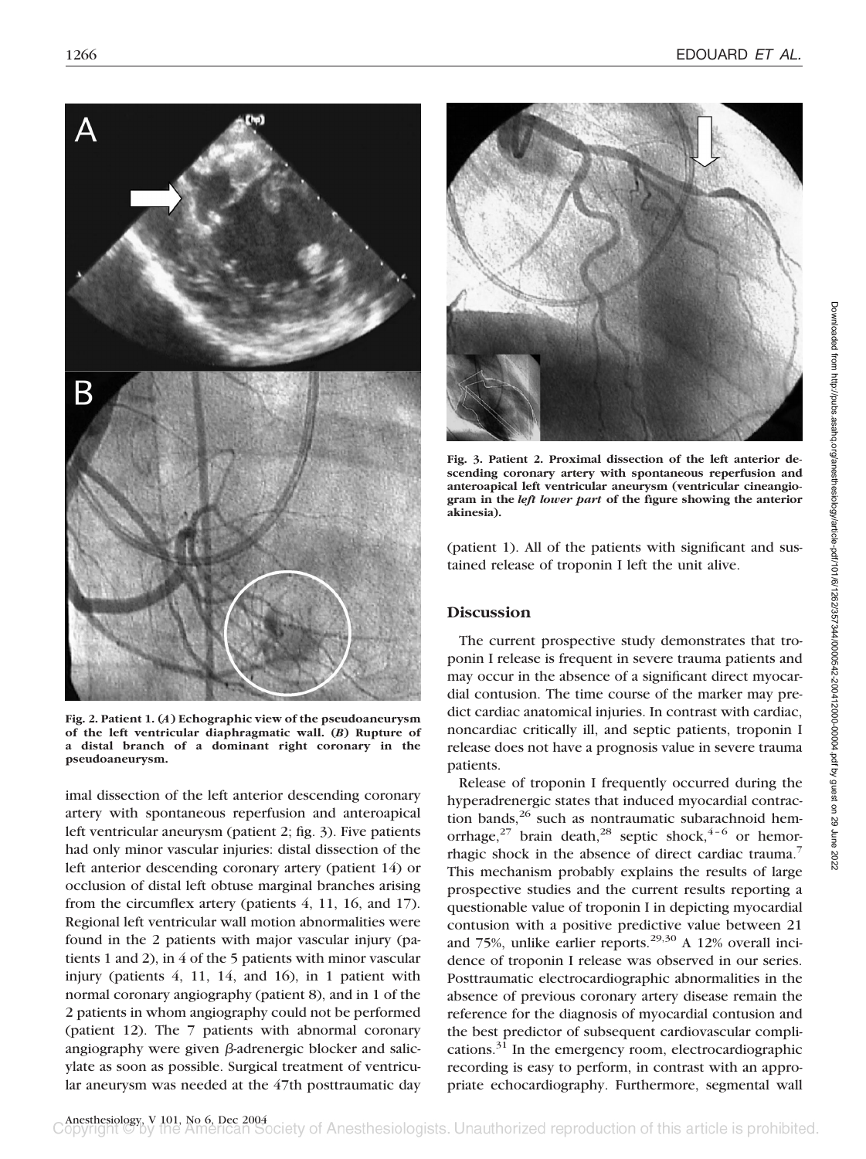

**Fig. 2. Patient 1. (***A***) Echographic view of the pseudoaneurysm of the left ventricular diaphragmatic wall. (***B***) Rupture of a distal branch of a dominant right coronary in the pseudoaneurysm.**

imal dissection of the left anterior descending coronary artery with spontaneous reperfusion and anteroapical left ventricular aneurysm (patient 2; fig. 3). Five patients had only minor vascular injuries: distal dissection of the left anterior descending coronary artery (patient 14) or occlusion of distal left obtuse marginal branches arising from the circumflex artery (patients 4, 11, 16, and 17). Regional left ventricular wall motion abnormalities were found in the 2 patients with major vascular injury (patients 1 and 2), in 4 of the 5 patients with minor vascular injury (patients 4, 11, 14, and 16), in 1 patient with normal coronary angiography (patient 8), and in 1 of the 2 patients in whom angiography could not be performed (patient 12). The 7 patients with abnormal coronary angiography were given  $\beta$ -adrenergic blocker and salicylate as soon as possible. Surgical treatment of ventricular aneurysm was needed at the 47th posttraumatic day



**Fig. 3. Patient 2. Proximal dissection of the left anterior descending coronary artery with spontaneous reperfusion and anteroapical left ventricular aneurysm (ventricular cineangiogram in the** *left lower part* **of the figure showing the anterior akinesia).**

(patient 1). All of the patients with significant and sustained release of troponin I left the unit alive.

# **Discussion**

The current prospective study demonstrates that troponin I release is frequent in severe trauma patients and may occur in the absence of a significant direct myocardial contusion. The time course of the marker may predict cardiac anatomical injuries. In contrast with cardiac, noncardiac critically ill, and septic patients, troponin I release does not have a prognosis value in severe trauma patients.

Release of troponin I frequently occurred during the hyperadrenergic states that induced myocardial contraction bands, $^{26}$  such as nontraumatic subarachnoid hemorrhage,<sup>27</sup> brain death,<sup>28</sup> septic shock,<sup>4-6</sup> or hemorrhagic shock in the absence of direct cardiac trauma.<sup>7</sup> This mechanism probably explains the results of large prospective studies and the current results reporting a questionable value of troponin I in depicting myocardial contusion with a positive predictive value between 21 and 75%, unlike earlier reports. $29,30$  A 12% overall incidence of troponin I release was observed in our series. Posttraumatic electrocardiographic abnormalities in the absence of previous coronary artery disease remain the reference for the diagnosis of myocardial contusion and the best predictor of subsequent cardiovascular complications. $31$  In the emergency room, electrocardiographic recording is easy to perform, in contrast with an appropriate echocardiography. Furthermore, segmental wall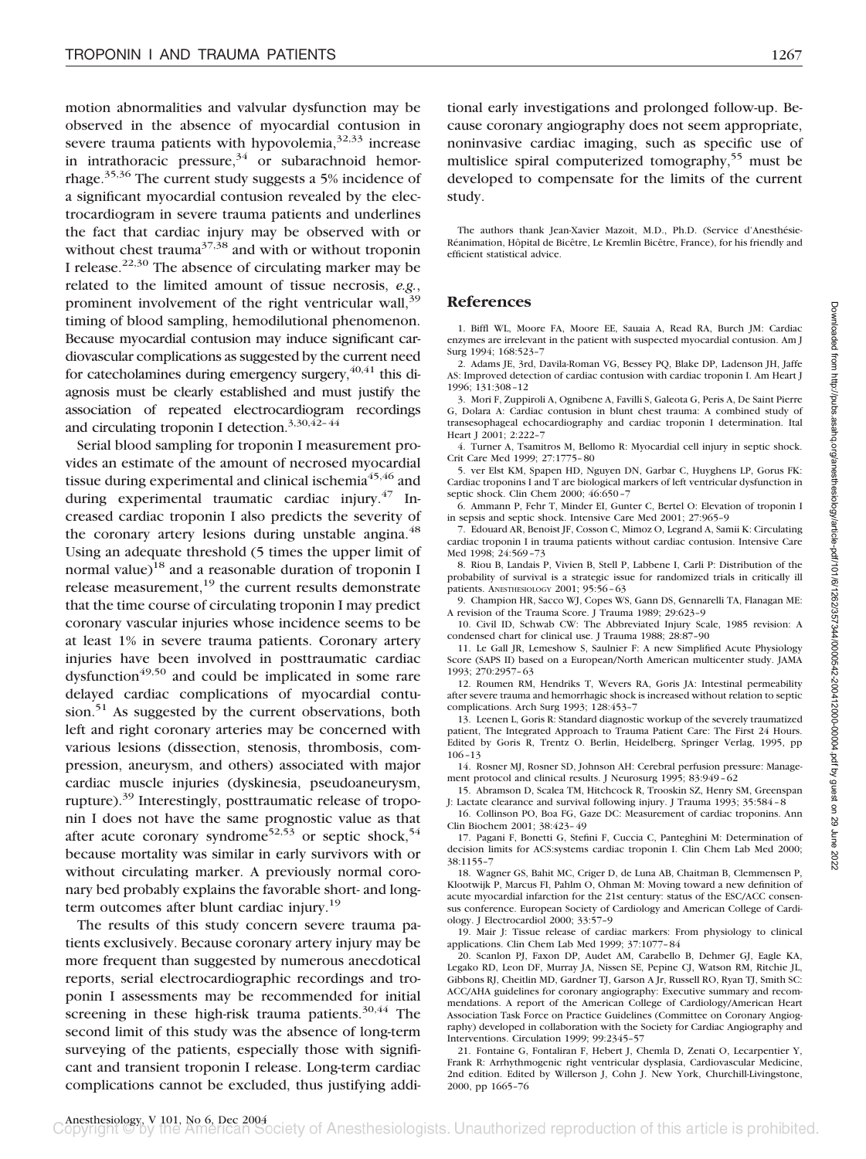motion abnormalities and valvular dysfunction may be observed in the absence of myocardial contusion in severe trauma patients with hypovolemia,  $32,33$  increase in intrathoracic pressure,  $34$  or subarachnoid hemorrhage.35,36 The current study suggests a 5% incidence of a significant myocardial contusion revealed by the electrocardiogram in severe trauma patients and underlines the fact that cardiac injury may be observed with or without chest trauma<sup>37,38</sup> and with or without troponin I release.<sup>22,30</sup> The absence of circulating marker may be related to the limited amount of tissue necrosis, *e.g.*, prominent involvement of the right ventricular wall,<sup>39</sup> timing of blood sampling, hemodilutional phenomenon. Because myocardial contusion may induce significant cardiovascular complications as suggested by the current need for catecholamines during emergency surgery,  $40,41$  this diagnosis must be clearly established and must justify the association of repeated electrocardiogram recordings and circulating troponin I detection.<sup>3,30,42-44</sup>

Serial blood sampling for troponin I measurement provides an estimate of the amount of necrosed myocardial tissue during experimental and clinical ischemia<sup>45,46</sup> and during experimental traumatic cardiac injury. $47$  Increased cardiac troponin I also predicts the severity of the coronary artery lesions during unstable angina.<sup>48</sup> Using an adequate threshold (5 times the upper limit of normal value)<sup>18</sup> and a reasonable duration of troponin I release measurement, $19$  the current results demonstrate that the time course of circulating troponin I may predict coronary vascular injuries whose incidence seems to be at least 1% in severe trauma patients. Coronary artery injuries have been involved in posttraumatic cardiac dysfunction<sup> $49,50$ </sup> and could be implicated in some rare delayed cardiac complications of myocardial contusion.<sup>51</sup> As suggested by the current observations, both left and right coronary arteries may be concerned with various lesions (dissection, stenosis, thrombosis, compression, aneurysm, and others) associated with major cardiac muscle injuries (dyskinesia, pseudoaneurysm, rupture).39 Interestingly, posttraumatic release of troponin I does not have the same prognostic value as that after acute coronary syndrome<sup>52,53</sup> or septic shock,<sup>54</sup> because mortality was similar in early survivors with or without circulating marker. A previously normal coronary bed probably explains the favorable short- and longterm outcomes after blunt cardiac injury.<sup>19</sup>

The results of this study concern severe trauma patients exclusively. Because coronary artery injury may be more frequent than suggested by numerous anecdotical reports, serial electrocardiographic recordings and troponin I assessments may be recommended for initial screening in these high-risk trauma patients. $30,44$  The second limit of this study was the absence of long-term surveying of the patients, especially those with significant and transient troponin I release. Long-term cardiac complications cannot be excluded, thus justifying additional early investigations and prolonged follow-up. Because coronary angiography does not seem appropriate, noninvasive cardiac imaging, such as specific use of multislice spiral computerized tomography,<sup>55</sup> must be developed to compensate for the limits of the current study.

The authors thank Jean-Xavier Mazoit, M.D., Ph.D. (Service d'Anesthésie-Réanimation, Hôpital de Bicêtre, Le Kremlin Bicêtre, France), for his friendly and efficient statistical advice.

### **References**

1. Biffl WL, Moore FA, Moore EE, Sauaia A, Read RA, Burch JM: Cardiac enzymes are irrelevant in the patient with suspected myocardial contusion. Am J Surg 1994; 168:523–7

2. Adams JE, 3rd, Davila-Roman VG, Bessey PQ, Blake DP, Ladenson JH, Jaffe AS: Improved detection of cardiac contusion with cardiac troponin I. Am Heart J 1996; 131:308–12

3. Mori F, Zuppiroli A, Ognibene A, Favilli S, Galeota G, Peris A, De Saint Pierre G, Dolara A: Cardiac contusion in blunt chest trauma: A combined study of transesophageal echocardiography and cardiac troponin I determination. Ital Heart J 2001; 2:222–7

4. Turner A, Tsamitros M, Bellomo R: Myocardial cell injury in septic shock. Crit Care Med 1999; 27:1775–80

5. ver Elst KM, Spapen HD, Nguyen DN, Garbar C, Huyghens LP, Gorus FK: Cardiac troponins I and T are biological markers of left ventricular dysfunction in septic shock. Clin Chem 2000; 46:650–7

6. Ammann P, Fehr T, Minder EI, Gunter C, Bertel O: Elevation of troponin I in sepsis and septic shock. Intensive Care Med 2001; 27:965–9

7. Edouard AR, Benoist JF, Cosson C, Mimoz O, Legrand A, Samii K: Circulating cardiac troponin I in trauma patients without cardiac contusion. Intensive Care Med 1998; 24:569–73

8. Riou B, Landais P, Vivien B, Stell P, Labbene I, Carli P: Distribution of the probability of survival is a strategic issue for randomized trials in critically ill patients. ANESTHESIOLOGY 2001; 95:56–63

9. Champion HR, Sacco WJ, Copes WS, Gann DS, Gennarelli TA, Flanagan ME: A revision of the Trauma Score. J Trauma 1989; 29:623–9

10. Civil ID, Schwab CW: The Abbreviated Injury Scale, 1985 revision: A condensed chart for clinical use. J Trauma 1988; 28:87–90

11. Le Gall JR, Lemeshow S, Saulnier F: A new Simplified Acute Physiology Score (SAPS II) based on a European/North American multicenter study. JAMA 1993; 270:2957–63

12. Roumen RM, Hendriks T, Wevers RA, Goris JA: Intestinal permeability after severe trauma and hemorrhagic shock is increased without relation to septic complications. Arch Surg 1993; 128:453–7

13. Leenen L, Goris R: Standard diagnostic workup of the severely traumatized patient, The Integrated Approach to Trauma Patient Care: The First 24 Hours. Edited by Goris R, Trentz O. Berlin, Heidelberg, Springer Verlag, 1995, pp 106–13

14. Rosner MJ, Rosner SD, Johnson AH: Cerebral perfusion pressure: Management protocol and clinical results. J Neurosurg 1995; 83:949–62

15. Abramson D, Scalea TM, Hitchcock R, Trooskin SZ, Henry SM, Greenspan J: Lactate clearance and survival following injury. J Trauma 1993; 35:584–8

16. Collinson PO, Boa FG, Gaze DC: Measurement of cardiac troponins. Ann Clin Biochem 2001; 38:423–49

17. Pagani F, Bonetti G, Stefini F, Cuccia C, Panteghini M: Determination of decision limits for ACS:systems cardiac troponin I. Clin Chem Lab Med 2000; 38:1155–7

18. Wagner GS, Bahit MC, Criger D, de Luna AB, Chaitman B, Clemmensen P, Klootwijk P, Marcus FI, Pahlm O, Ohman M: Moving toward a new definition of acute myocardial infarction for the 21st century: status of the ESC/ACC consensus conference. European Society of Cardiology and American College of Cardiology. J Electrocardiol 2000; 33:57–9

19. Mair J: Tissue release of cardiac markers: From physiology to clinical applications. Clin Chem Lab Med 1999; 37:1077–84

20. Scanlon PJ, Faxon DP, Audet AM, Carabello B, Dehmer GJ, Eagle KA, Legako RD, Leon DF, Murray JA, Nissen SE, Pepine CJ, Watson RM, Ritchie JL, Gibbons RJ, Cheitlin MD, Gardner TJ, Garson A Jr, Russell RO, Ryan TJ, Smith SC: ACC/AHA guidelines for coronary angiography: Executive summary and recommendations. A report of the American College of Cardiology/American Heart Association Task Force on Practice Guidelines (Committee on Coronary Angiography) developed in collaboration with the Society for Cardiac Angiography and Interventions. Circulation 1999; 99:2345–57

21. Fontaine G, Fontaliran F, Hebert J, Chemla D, Zenati O, Lecarpentier Y, Frank R: Arrhythmogenic right ventricular dysplasia, Cardiovascular Medicine, 2nd edition. Edited by Willerson J, Cohn J. New York, Churchill-Livingstone, 2000, pp 1665–76